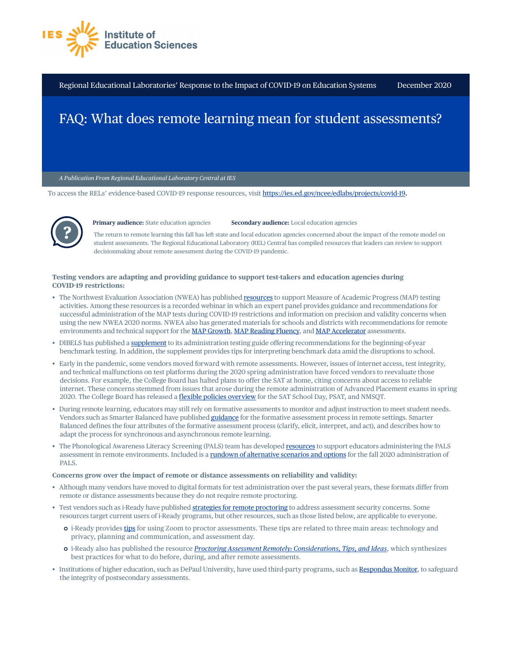

Regional Educational Laboratories' Response to the Impact of COVID-19 on Education Systems December 2020

## FAQ: What does remote learning mean for student assessments?

*A Publication From Regional Educational Laboratory Central at IES* 

To access the RELs' evidence-based COVID-19 response resources, visit<https://ies.ed.gov/ncee/edlabs/projects/covid-19>**.** 



**Primary audience:** State education agencies **Secondary audience:** Local education agencies

The return to remote learning this fall has left state and local education agencies concerned about the impact of the remote model on student assessments. The Regional Educational Laboratory (REL) Central has compiled resources that leaders can review to support decisionmaking about remote assessment during the COVID-19 pandemic.

## **Testing vendors are adapting and providing guidance to support test-takers and education agencies during COVID-19 restrictions:**

- The Northwest Evaluation Association (NWEA) has published [resources](https://nwea.force.com/nweaconnection/s/remote-testing-resources?language=en_US) to support Measure of Academic Progress (MAP) testing activities. Among these resources is a recorded webinar in which an expert panel provides guidance and recommendations for successful administration of the MAP tests during COVID-19 restrictions and information on precision and validity concerns when using the new NWEA 2020 norms. NWEA also has generated materials for schools and districts with recommendations for remote environments and technical support for the [MAP Growth,](https://cdn.nwea.org/docs/KAP5222+Remote+Testing+Guidance+Overview+MAY20_D04.pdf) [MAP Reading Fluency](https://cdn.nwea.org/docs/District+and+school+recommendations+for+MAP+Reading+Fluency+administration+in+a+remote+environment.pdf), and [MAP Accelerator](https://cdn.nwea.org/docs/KAP5439+MAP+Accelerator+Remote+Usage+Guidance+JUN20_D04.pdf) assessments.
- DIBELS has published a [supplement](https://dibels.uoregon.edu/docs/materials/d8/2020-2021-BOY-DIBELS-Testing-Guidance.pdf) to its administration testing guide offering recommendations for the beginning-of-year benchmark testing. In addition, the supplement provides tips for interpreting benchmark data amid the disruptions to school.
- Early in the pandemic, some vendors moved forward with remote assessments. However, issues of internet access, test integrity, and technical malfunctions on test platforms during the 2020 spring administration have forced vendors to reevaluate those decisions. For example, the College Board has halted plans to offer the SAT at home, citing concerns about access to reliable internet. These concerns stemmed from issues that arose during the remote administration of Advanced Placement exams in spring 2020. The College Board has released a [flexible policies overview](https://collegereadiness.collegeboard.org/pdf/fall-2020-flexible-testing-options-guide-sat-suite.pdf) for the SAT School Day, PSAT, and NMSQT.
- During remote learning, educators may still rely on formative assessments to monitor and adjust instruction to meet student needs. Vendors such as Smarter Balanced have published [guidance](https://smarterbalanced.org/remote-learning-and-the-formative-assessment-process/) for the formative assessment process in remote settings. Smarter Balanced defines the four attributes of the formative assessment process (clarify, elicit, interpret, and act), and describes how to adapt the process for synchronous and asynchronous remote learning.
- The Phonological Awareness Literacy Screening (PALS) team has developed [resources](https://palsresource.info/the-pals-team-is-here-to-support-you/) to support educators administering the PALS assessment in remote environments. Included is a [rundown of alternative scenarios and options](https://palsresource.info/wp-content/uploads/2020/09/Using-PALS-in-Fall-2020_-Alternative-Scenarios-and-Options-9-15-20.pdf) for the fall 2020 administration of PALS.

## **Concerns grow over the impact of remote or distance assessments on reliability and validity:**

- Although many vendors have moved to digital formats for test administration over the past several years, these formats differ from remote or distance assessments because they do not require remote proctoring.
- Test vendors such as i-Ready have published [strategies for remote proctoring](https://www.curriculumassociates.com/teaching-learning-2020/assessment-for-educators) to address assessment security concerns. Some resources target current users of i-Ready programs, but other resources, such as those listed below, are applicable to everyone.
	- | i-Ready provides [tips](https://www.curriculumassociates.com/-/media/mainsite/files/i-ready/iready-proctoring-assessment-remotely-zoom-2020.pdf) for using Zoom to proctor assessments. These tips are related to three main areas: technology and privacy, planning and communication, and assessment day.
	- | i-Ready also has published the resource *[Proctoring Assessment Remotely: Considerations, Tips, and Ideas](https://i-readycentral.com/download/?res=32340&view_pdf=1)*, which synthesizes best practices for what to do before, during, and after remote assessments.
- Institutions of higher education, such as DePaul University, have used third-party programs, such as [Respondus Monitor](https://web.respondus.com/he/monitor/), to safeguard the integrity of postsecondary assessments.